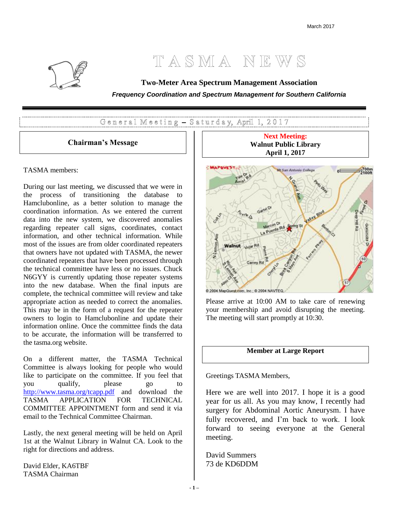# TASMA NEWS



General Meeting - Saturday, April 1, 2017

#### **Chairman's Message**

#### TASMA members:

During our last meeting, we discussed that we were in the process of transitioning the database to Hamclubonline, as a better solution to manage the coordination information. As we entered the current data into the new system, we discovered anomalies regarding repeater call signs, coordinates, contact information, and other technical information. While most of the issues are from older coordinated repeaters that owners have not updated with TASMA, the newer coordinated repeaters that have been processed through the technical committee have less or no issues. Chuck N6GYY is currently updating those repeater systems into the new database. When the final inputs are complete, the technical committee will review and take appropriate action as needed to correct the anomalies. This may be in the form of a request for the repeater owners to login to Hamclubonline and update their information online. Once the committee finds the data to be accurate, the information will be transferred to the tasma.org website.

On a different matter, the TASMA Technical Committee is always looking for people who would like to participate on the committee. If you feel that you qualify, please go to <http://www.tasma.org/tcapp.pdf> and download the TASMA APPLICATION FOR TECHNICAL COMMITTEE APPOINTMENT form and send it via email to the Technical Committee Chairman.

Lastly, the next general meeting will be held on April 1st at the Walnut Library in Walnut CA. Look to the right for directions and address.

David Elder, KA6TBF TASMA Chairman





Please arrive at 10:00 AM to take care of renewing your membership and avoid disrupting the meeting. The meeting will start promptly at 10:30.

### **Member at Large Report**

Greetings TASMA Members,

Here we are well into 2017. I hope it is a good year for us all. As you may know, I recently had surgery for Abdominal Aortic Aneurysm. I have fully recovered, and I'm back to work. I look forward to seeing everyone at the General meeting.

David Summers 73 de KD6DDM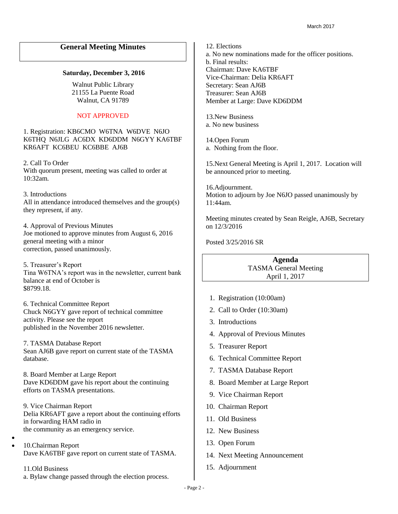#### **General Meeting Minutes**

#### **Saturday, December 3, 2016**

Walnut Public Library 21155 La Puente Road Walnut, CA 91789

#### NOT APPROVED

1. Registration: KB6CMO W6TNA W6DVE N6JO K6THQ N6JLG AC6DX KD6DDM N6GYY KA6TBF KR6AFT KC6BEU KC6BBE AJ6B

2. Call To Order With quorum present, meeting was called to order at 10:32am.

3. Introductions All in attendance introduced themselves and the group(s) they represent, if any.

4. Approval of Previous Minutes Joe motioned to approve minutes from August 6, 2016 general meeting with a minor correction, passed unanimously.

5. Treasurer's Report Tina W6TNA's report was in the newsletter, current bank balance at end of October is \$8799.18.

6. Technical Committee Report Chuck N6GYY gave report of technical committee activity. Please see the report published in the November 2016 newsletter.

7. TASMA Database Report Sean AJ6B gave report on current state of the TASMA database.

8. Board Member at Large Report Dave KD6DDM gave his report about the continuing efforts on TASMA presentations.

9. Vice Chairman Report Delia KR6AFT gave a report about the continuing efforts in forwarding HAM radio in the community as an emergency service.

• • 10.Chairman Report

Dave KA6TBF gave report on current state of TASMA.

11.Old Business a. Bylaw change passed through the election process.

12. Elections a. No new nominations made for the officer positions. b. Final results: Chairman: Dave KA6TBF Vice-Chairman: Delia KR6AFT Secretary: Sean AJ6B Treasurer: Sean AJ6B Member at Large: Dave KD6DDM

13.New Business a. No new business

14.Open Forum a. Nothing from the floor.

15.Next General Meeting is April 1, 2017. Location will be announced prior to meeting.

16.Adjournment. Motion to adjourn by Joe N6JO passed unanimously by 11:44am.

Meeting minutes created by Sean Reigle, AJ6B, Secretary on 12/3/2016

Posted 3/25/2016 SR

#### **Agenda** TASMA General Meeting April 1, 2017

- 1. Registration (10:00am)
- 2. Call to Order (10:30am)
- 3. Introductions
- 4. Approval of Previous Minutes
- 5. Treasurer Report
- 6. Technical Committee Report
- 7. TASMA Database Report
- 8. Board Member at Large Report
- 9. Vice Chairman Report
- 10. Chairman Report
- 11. Old Business
- 12. New Business
- 13. Open Forum
- 14. Next Meeting Announcement
- 15. Adjournment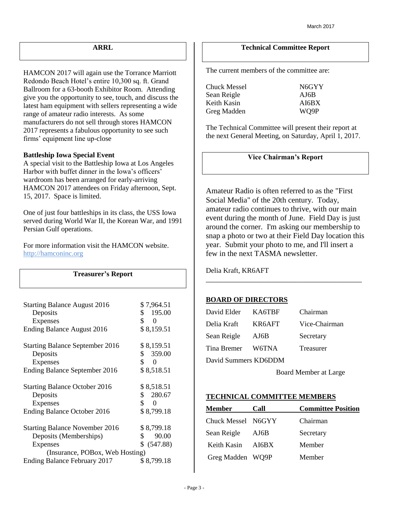#### **ARRL**

HAMCON 2017 will again use the Torrance Marriott Redondo Beach Hotel's entire 10,300 sq. ft. Grand Ballroom for a 63-booth Exhibitor Room. Attending give you the opportunity to see, touch, and discuss the latest ham equipment with sellers representing a wide range of amateur radio interests. As some manufacturers do not sell through stores HAMCON 2017 represents a fabulous opportunity to see such firms' equipment line up-close

#### **Battleship Iowa Special Event**

A special visit to the Battleship Iowa at Los Angeles Harbor with buffet dinner in the Iowa's officers' wardroom has been arranged for early-arriving HAMCON 2017 attendees on Friday afternoon, Sept. 15, 2017. Space is limited.

One of just four battleships in its class, the USS Iowa served during World War II, the Korean War, and 1991 Persian Gulf operations.

For more information visit the HAMCON website. [http://hamconinc.org](http://hamconinc.org/)

| <b>Treasurer's Report</b>              |                          |
|----------------------------------------|--------------------------|
|                                        |                          |
| <b>Starting Balance August 2016</b>    | \$7,964.51               |
| Deposits                               | \$195.00                 |
| <b>Expenses</b>                        | \$<br>0                  |
| Ending Balance August 2016             | \$8,159.51               |
| <b>Starting Balance September 2016</b> | \$8,159.51               |
| Deposits                               | \$359.00                 |
| <b>Expenses</b>                        | \$<br>0                  |
| Ending Balance September 2016          | \$8,518.51               |
| <b>Starting Balance October 2016</b>   | \$8,518.51               |
| Deposits                               | \$280.67                 |
| <b>Expenses</b>                        | $\mathbb{S}$<br>$\theta$ |
| Ending Balance October 2016            | \$8,799.18               |
| <b>Starting Balance November 2016</b>  | \$8,799.18               |
| Deposits (Memberships)                 | \$<br>90.00              |
| <b>Expenses</b>                        | \$ (547.88)              |
| (Insurance, POBox, Web Hosting)        |                          |
| Ending Balance February 2017           | \$8,799.18               |

#### **Technical Committee Report**

The current members of the committee are:

Chuck Messel N6GYY Sean Reigle **AJ6B** Keith Kasin AI6BX Greg Madden WO9P

The Technical Committee will present their report at the next General Meeting, on Saturday, April 1, 2017.

#### **Vice Chairman's Report**

Amateur Radio is often referred to as the "First Social Media" of the 20th century. Today, amateur radio continues to thrive, with our main event during the month of June. Field Day is just around the corner. I'm asking our membership to snap a photo or two at their Field Day location this year. Submit your photo to me, and I'll insert a few in the next TASMA newsletter.

\_\_\_\_\_\_\_\_\_\_\_\_\_\_\_\_\_\_\_\_\_\_\_\_\_\_\_\_\_\_\_\_\_\_\_\_\_\_\_\_

Delia Kraft, KR6AFT

#### **BOARD OF DIRECTORS**

| David Elder          | KA6TBF | Chairman      |  |  |  |  |  |
|----------------------|--------|---------------|--|--|--|--|--|
| Delia Kraft          | KR6AFT | Vice-Chairman |  |  |  |  |  |
| Sean Reigle          | AJ6B   | Secretary     |  |  |  |  |  |
| Tina Bremer          | W6TNA  | Treasurer     |  |  |  |  |  |
| David Summers KD6DDM |        |               |  |  |  |  |  |

Board Member at Large

#### **TECHNICAL COMMITTEE MEMBERS**

| <b>Member</b>      | Call  | <b>Committee Position</b> |  |  |  |  |
|--------------------|-------|---------------------------|--|--|--|--|
| Chuck Messel N6GYY |       | Chairman                  |  |  |  |  |
| Sean Reigle        | AJ6B  | Secretary                 |  |  |  |  |
| Keith Kasin        | AI6BX | Member                    |  |  |  |  |
| Greg Madden WQ9P   |       | Member                    |  |  |  |  |